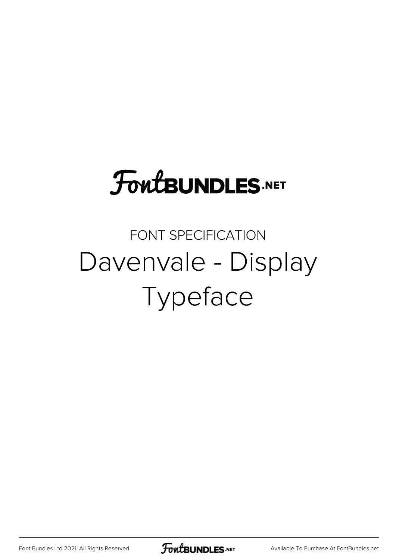# **FoutBUNDLES.NET**

#### FONT SPECIFICATION Davenvale - Display Typeface

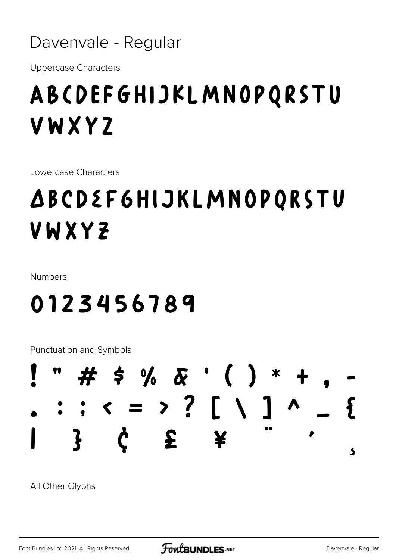

**Uppercase Characters** 

### ABCDEFGHIJKLMNOPQRSTU **VWXYZ**

Lowercase Characters

## **ABCDEF6HIJKLMNOPQRSTU** VWXYZ

**Numbers** 

#### 0123456789

Punctuation and Symbols



All Other Glyphs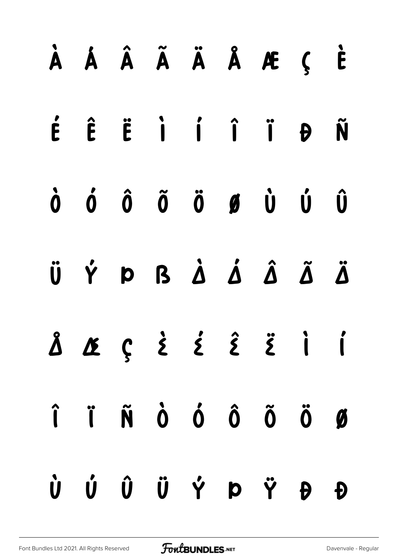|  |  |  | À Á Â Ã Ä Å Æ Ç È                                                                                                                                                                                                                                                                                                                                                                                                                                                                      |  |
|--|--|--|----------------------------------------------------------------------------------------------------------------------------------------------------------------------------------------------------------------------------------------------------------------------------------------------------------------------------------------------------------------------------------------------------------------------------------------------------------------------------------------|--|
|  |  |  | É Ê Ë İ Í Î Ï Đ Ñ                                                                                                                                                                                                                                                                                                                                                                                                                                                                      |  |
|  |  |  | $\begin{matrix} \dot{\mathbf{0}} & \dot{\mathbf{0}} & \dot{\mathbf{0}} & \dot{\mathbf{0}} & \dot{\mathbf{0}} & \dot{\mathbf{0}} & \dot{\mathbf{0}} & \dot{\mathbf{0}} & \dot{\mathbf{0}} & \dot{\mathbf{0}} & \dot{\mathbf{0}} & \dot{\mathbf{0}} & \dot{\mathbf{0}} & \dot{\mathbf{0}} & \dot{\mathbf{0}} & \dot{\mathbf{0}} & \dot{\mathbf{0}} & \dot{\mathbf{0}} & \dot{\mathbf{0}} & \dot{\mathbf{0}} & \dot{\mathbf{0}} & \dot{\mathbf{0}} & \dot{\mathbf{0}} & \dot{\mathbf{0}}$ |  |
|  |  |  | ÜÝÞBÀ Á Â Ã Ä                                                                                                                                                                                                                                                                                                                                                                                                                                                                          |  |
|  |  |  | Å Δς έ έ ε̂ ë i i                                                                                                                                                                                                                                                                                                                                                                                                                                                                      |  |
|  |  |  | $\hat{\mathbf{i}}\quad \hat{\mathbf{i}}\quad \hat{\mathbf{N}}\quad \hat{\mathbf{O}}\quad \hat{\mathbf{O}}\quad \hat{\mathbf{O}}\quad \hat{\mathbf{O}}\quad \hat{\mathbf{O}}\quad \hat{\mathbf{O}}$                                                                                                                                                                                                                                                                                     |  |
|  |  |  | Ù Ú Û Ü Ý Þ Ÿ Ð Đ                                                                                                                                                                                                                                                                                                                                                                                                                                                                      |  |